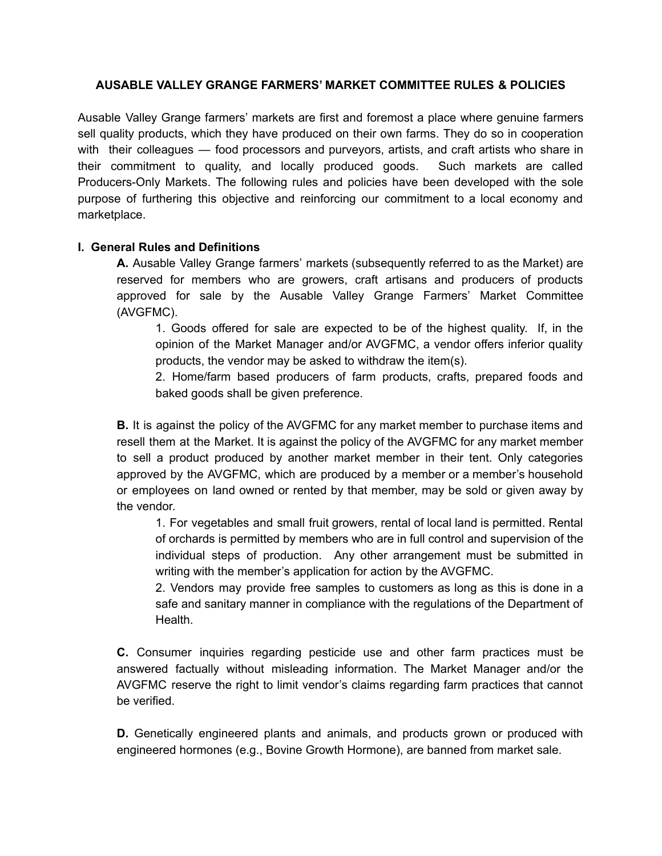### **AUSABLE VALLEY GRANGE FARMERS' MARKET COMMITTEE RULES & POLICIES**

Ausable Valley Grange farmers' markets are first and foremost a place where genuine farmers sell quality products, which they have produced on their own farms. They do so in cooperation with their colleagues — food processors and purveyors, artists, and craft artists who share in their commitment to quality, and locally produced goods. Such markets are called Producers-Only Markets. The following rules and policies have been developed with the sole purpose of furthering this objective and reinforcing our commitment to a local economy and marketplace.

## **I. General Rules and Definitions**

**A.** Ausable Valley Grange farmers' markets (subsequently referred to as the Market) are reserved for members who are growers, craft artisans and producers of products approved for sale by the Ausable Valley Grange Farmers' Market Committee (AVGFMC).

1. Goods offered for sale are expected to be of the highest quality. If, in the opinion of the Market Manager and/or AVGFMC, a vendor offers inferior quality products, the vendor may be asked to withdraw the item(s).

2. Home/farm based producers of farm products, crafts, prepared foods and baked goods shall be given preference.

**B.** It is against the policy of the AVGFMC for any market member to purchase items and resell them at the Market. It is against the policy of the AVGFMC for any market member to sell a product produced by another market member in their tent. Only categories approved by the AVGFMC, which are produced by a member or a member's household or employees on land owned or rented by that member, may be sold or given away by the vendor.

1. For vegetables and small fruit growers, rental of local land is permitted. Rental of orchards is permitted by members who are in full control and supervision of the individual steps of production. Any other arrangement must be submitted in writing with the member's application for action by the AVGFMC.

2. Vendors may provide free samples to customers as long as this is done in a safe and sanitary manner in compliance with the regulations of the Department of Health.

**C.** Consumer inquiries regarding pesticide use and other farm practices must be answered factually without misleading information. The Market Manager and/or the AVGFMC reserve the right to limit vendor's claims regarding farm practices that cannot be verified.

**D.** Genetically engineered plants and animals, and products grown or produced with engineered hormones (e.g., Bovine Growth Hormone), are banned from market sale.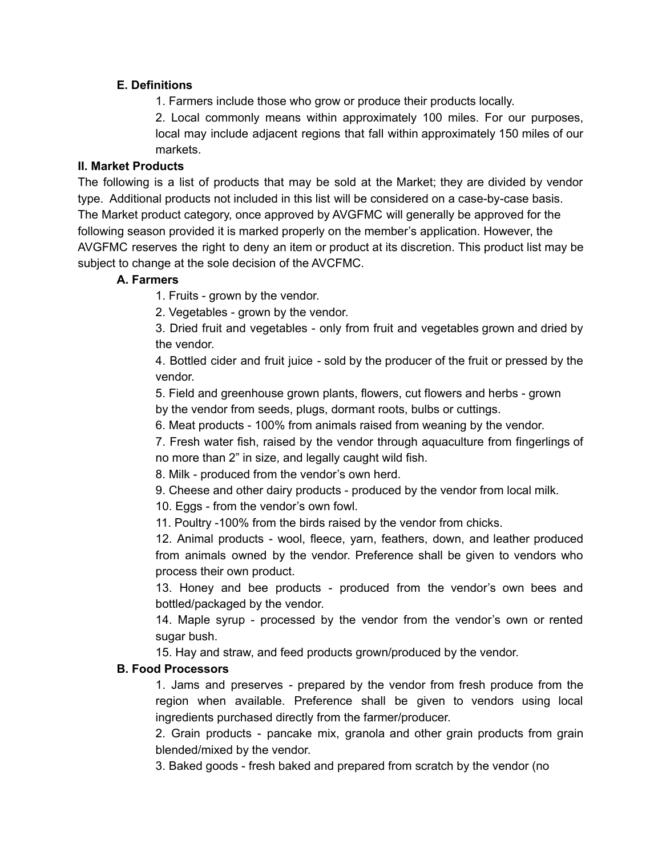## **E. Definitions**

1. Farmers include those who grow or produce their products locally.

2. Local commonly means within approximately 100 miles. For our purposes, local may include adjacent regions that fall within approximately 150 miles of our markets.

## **II. Market Products**

The following is a list of products that may be sold at the Market; they are divided by vendor type. Additional products not included in this list will be considered on a case-by-case basis. The Market product category, once approved by AVGFMC will generally be approved for the following season provided it is marked properly on the member's application. However, the AVGFMC reserves the right to deny an item or product at its discretion. This product list may be subject to change at the sole decision of the AVCFMC.

## **A. Farmers**

1. Fruits - grown by the vendor.

2. Vegetables - grown by the vendor.

3. Dried fruit and vegetables - only from fruit and vegetables grown and dried by the vendor.

4. Bottled cider and fruit juice - sold by the producer of the fruit or pressed by the vendor.

5. Field and greenhouse grown plants, flowers, cut flowers and herbs - grown by the vendor from seeds, plugs, dormant roots, bulbs or cuttings.

6. Meat products - 100% from animals raised from weaning by the vendor.

7. Fresh water fish, raised by the vendor through aquaculture from fingerlings of no more than 2" in size, and legally caught wild fish.

8. Milk - produced from the vendor's own herd.

9. Cheese and other dairy products - produced by the vendor from local milk.

10. Eggs - from the vendor's own fowl.

11. Poultry -100% from the birds raised by the vendor from chicks.

12. Animal products - wool, fleece, yarn, feathers, down, and leather produced from animals owned by the vendor. Preference shall be given to vendors who process their own product.

13. Honey and bee products - produced from the vendor's own bees and bottled/packaged by the vendor.

14. Maple syrup - processed by the vendor from the vendor's own or rented sugar bush.

15. Hay and straw, and feed products grown/produced by the vendor.

# **B. Food Processors**

1. Jams and preserves - prepared by the vendor from fresh produce from the region when available. Preference shall be given to vendors using local ingredients purchased directly from the farmer/producer.

2. Grain products - pancake mix, granola and other grain products from grain blended/mixed by the vendor.

3. Baked goods - fresh baked and prepared from scratch by the vendor (no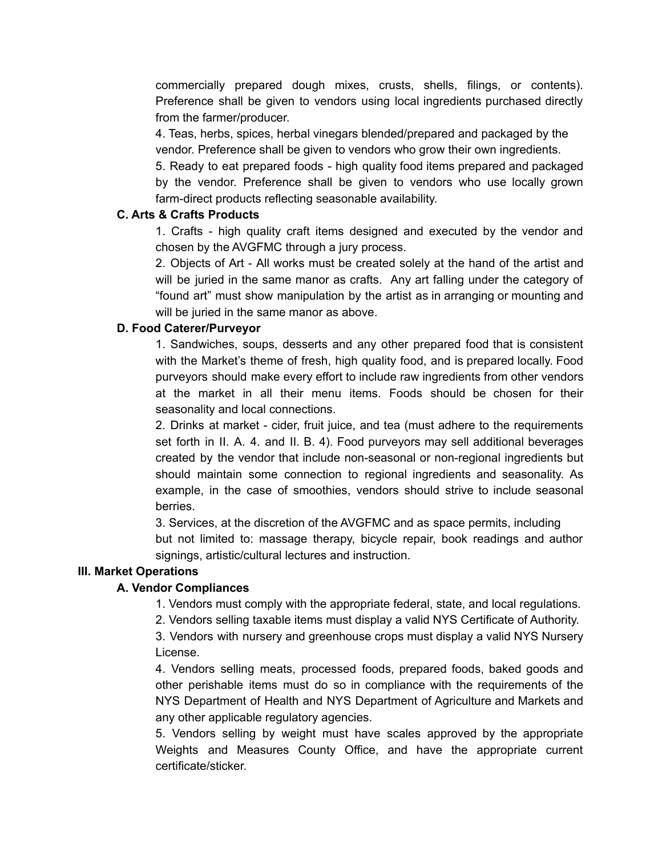commercially prepared dough mixes, crusts, shells, filings, or contents). Preference shall be given to vendors using local ingredients purchased directly from the farmer/producer.

4. Teas, herbs, spices, herbal vinegars blended/prepared and packaged by the vendor. Preference shall be given to vendors who grow their own ingredients.

5. Ready to eat prepared foods - high quality food items prepared and packaged by the vendor. Preference shall be given to vendors who use locally grown farm-direct products reflecting seasonable availability.

## **C. Arts & Crafts Products**

1. Crafts - high quality craft items designed and executed by the vendor and chosen by the AVGFMC through a jury process.

2. Objects of Art - All works must be created solely at the hand of the artist and will be juried in the same manor as crafts. Any art falling under the category of "found art" must show manipulation by the artist as in arranging or mounting and will be juried in the same manor as above.

## **D. Food Caterer/Purveyor**

1. Sandwiches, soups, desserts and any other prepared food that is consistent with the Market's theme of fresh, high quality food, and is prepared locally. Food purveyors should make every effort to include raw ingredients from other vendors at the market in all their menu items. Foods should be chosen for their seasonality and local connections.

2. Drinks at market - cider, fruit juice, and tea (must adhere to the requirements set forth in II. A. 4. and II. B. 4). Food purveyors may sell additional beverages created by the vendor that include non-seasonal or non-regional ingredients but should maintain some connection to regional ingredients and seasonality. As example, in the case of smoothies, vendors should strive to include seasonal berries.

3. Services, at the discretion of the AVGFMC and as space permits, including but not limited to: massage therapy, bicycle repair, book readings and author signings, artistic/cultural lectures and instruction.

# **III. Market Operations**

# **A. Vendor Compliances**

1. Vendors must comply with the appropriate federal, state, and local regulations.

2. Vendors selling taxable items must display a valid NYS Certificate of Authority.

3. Vendors with nursery and greenhouse crops must display a valid NYS Nursery License.

4. Vendors selling meats, processed foods, prepared foods, baked goods and other perishable items must do so in compliance with the requirements of the NYS Department of Health and NYS Department of Agriculture and Markets and any other applicable regulatory agencies.

5. Vendors selling by weight must have scales approved by the appropriate Weights and Measures County Office, and have the appropriate current certificate/sticker.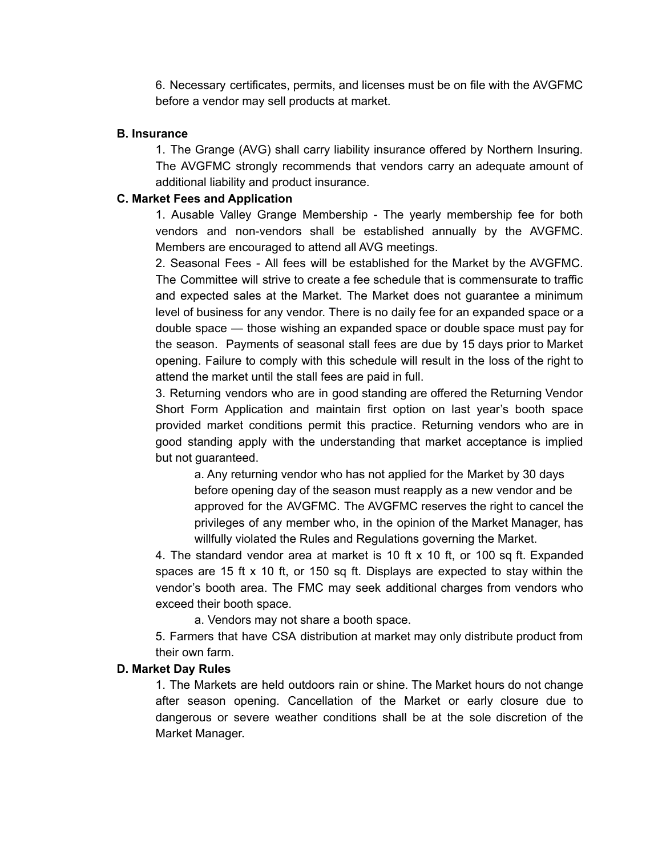6. Necessary certificates, permits, and licenses must be on file with the AVGFMC before a vendor may sell products at market.

#### **B. Insurance**

1. The Grange (AVG) shall carry liability insurance offered by Northern Insuring. The AVGFMC strongly recommends that vendors carry an adequate amount of additional liability and product insurance.

### **C. Market Fees and Application**

1. Ausable Valley Grange Membership - The yearly membership fee for both vendors and non-vendors shall be established annually by the AVGFMC. Members are encouraged to attend all AVG meetings.

2. Seasonal Fees - All fees will be established for the Market by the AVGFMC. The Committee will strive to create a fee schedule that is commensurate to traffic and expected sales at the Market. The Market does not guarantee a minimum level of business for any vendor. There is no daily fee for an expanded space or a double space — those wishing an expanded space or double space must pay for the season. Payments of seasonal stall fees are due by 15 days prior to Market opening. Failure to comply with this schedule will result in the loss of the right to attend the market until the stall fees are paid in full.

3. Returning vendors who are in good standing are offered the Returning Vendor Short Form Application and maintain first option on last year's booth space provided market conditions permit this practice. Returning vendors who are in good standing apply with the understanding that market acceptance is implied but not guaranteed.

a. Any returning vendor who has not applied for the Market by 30 days before opening day of the season must reapply as a new vendor and be approved for the AVGFMC. The AVGFMC reserves the right to cancel the privileges of any member who, in the opinion of the Market Manager, has willfully violated the Rules and Regulations governing the Market.

4. The standard vendor area at market is 10 ft x 10 ft, or 100 sq ft. Expanded spaces are 15 ft  $\times$  10 ft, or 150 sq ft. Displays are expected to stay within the vendor's booth area. The FMC may seek additional charges from vendors who exceed their booth space.

a. Vendors may not share a booth space.

5. Farmers that have CSA distribution at market may only distribute product from their own farm.

### **D. Market Day Rules**

1. The Markets are held outdoors rain or shine. The Market hours do not change after season opening. Cancellation of the Market or early closure due to dangerous or severe weather conditions shall be at the sole discretion of the Market Manager.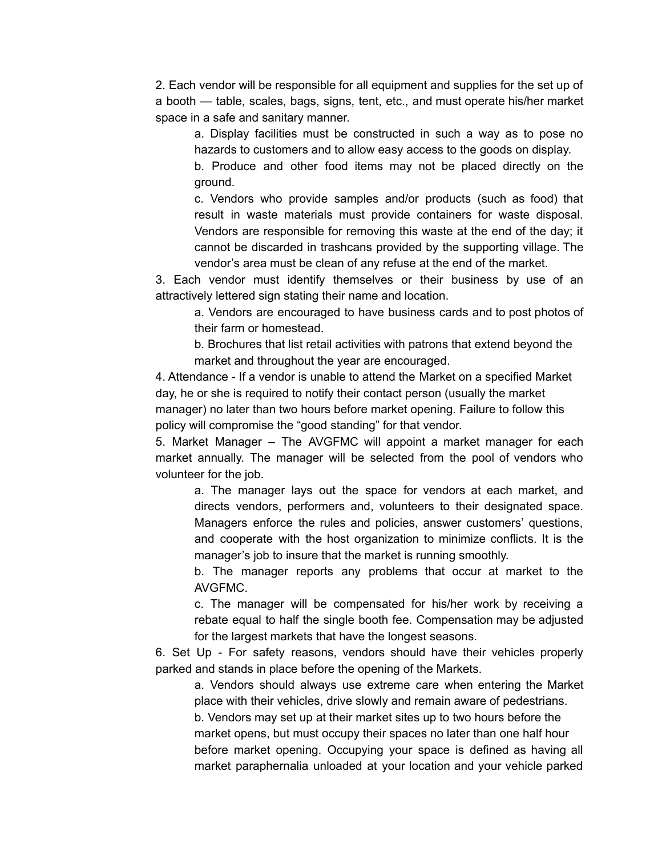2. Each vendor will be responsible for all equipment and supplies for the set up of a booth — table, scales, bags, signs, tent, etc., and must operate his/her market space in a safe and sanitary manner.

a. Display facilities must be constructed in such a way as to pose no hazards to customers and to allow easy access to the goods on display.

b. Produce and other food items may not be placed directly on the ground.

c. Vendors who provide samples and/or products (such as food) that result in waste materials must provide containers for waste disposal. Vendors are responsible for removing this waste at the end of the day; it cannot be discarded in trashcans provided by the supporting village. The vendor's area must be clean of any refuse at the end of the market.

3. Each vendor must identify themselves or their business by use of an attractively lettered sign stating their name and location.

a. Vendors are encouraged to have business cards and to post photos of their farm or homestead.

b. Brochures that list retail activities with patrons that extend beyond the market and throughout the year are encouraged.

4. Attendance - If a vendor is unable to attend the Market on a specified Market day, he or she is required to notify their contact person (usually the market manager) no later than two hours before market opening. Failure to follow this policy will compromise the "good standing" for that vendor.

5. Market Manager – The AVGFMC will appoint a market manager for each market annually. The manager will be selected from the pool of vendors who volunteer for the job.

a. The manager lays out the space for vendors at each market, and directs vendors, performers and, volunteers to their designated space. Managers enforce the rules and policies, answer customers' questions, and cooperate with the host organization to minimize conflicts. It is the manager's job to insure that the market is running smoothly.

b. The manager reports any problems that occur at market to the AVGFMC.

c. The manager will be compensated for his/her work by receiving a rebate equal to half the single booth fee. Compensation may be adjusted for the largest markets that have the longest seasons.

6. Set Up - For safety reasons, vendors should have their vehicles properly parked and stands in place before the opening of the Markets.

a. Vendors should always use extreme care when entering the Market place with their vehicles, drive slowly and remain aware of pedestrians.

b. Vendors may set up at their market sites up to two hours before the market opens, but must occupy their spaces no later than one half hour before market opening. Occupying your space is defined as having all market paraphernalia unloaded at your location and your vehicle parked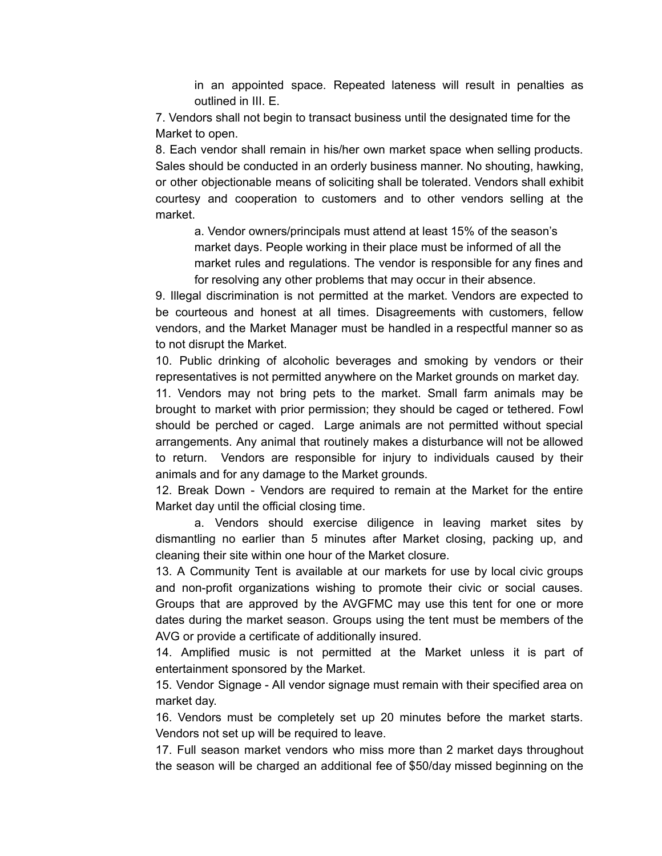in an appointed space. Repeated lateness will result in penalties as outlined in III. E.

7. Vendors shall not begin to transact business until the designated time for the Market to open.

8. Each vendor shall remain in his/her own market space when selling products. Sales should be conducted in an orderly business manner. No shouting, hawking, or other objectionable means of soliciting shall be tolerated. Vendors shall exhibit courtesy and cooperation to customers and to other vendors selling at the market.

a. Vendor owners/principals must attend at least 15% of the season's market days. People working in their place must be informed of all the market rules and regulations. The vendor is responsible for any fines and for resolving any other problems that may occur in their absence.

9. Illegal discrimination is not permitted at the market. Vendors are expected to be courteous and honest at all times. Disagreements with customers, fellow vendors, and the Market Manager must be handled in a respectful manner so as to not disrupt the Market.

10. Public drinking of alcoholic beverages and smoking by vendors or their representatives is not permitted anywhere on the Market grounds on market day.

11. Vendors may not bring pets to the market. Small farm animals may be brought to market with prior permission; they should be caged or tethered. Fowl should be perched or caged. Large animals are not permitted without special arrangements. Any animal that routinely makes a disturbance will not be allowed to return. Vendors are responsible for injury to individuals caused by their animals and for any damage to the Market grounds.

12. Break Down - Vendors are required to remain at the Market for the entire Market day until the official closing time.

a. Vendors should exercise diligence in leaving market sites by dismantling no earlier than 5 minutes after Market closing, packing up, and cleaning their site within one hour of the Market closure.

13. A Community Tent is available at our markets for use by local civic groups and non-profit organizations wishing to promote their civic or social causes. Groups that are approved by the AVGFMC may use this tent for one or more dates during the market season. Groups using the tent must be members of the AVG or provide a certificate of additionally insured.

14. Amplified music is not permitted at the Market unless it is part of entertainment sponsored by the Market.

15. Vendor Signage - All vendor signage must remain with their specified area on market day.

16. Vendors must be completely set up 20 minutes before the market starts. Vendors not set up will be required to leave.

17. Full season market vendors who miss more than 2 market days throughout the season will be charged an additional fee of \$50/day missed beginning on the